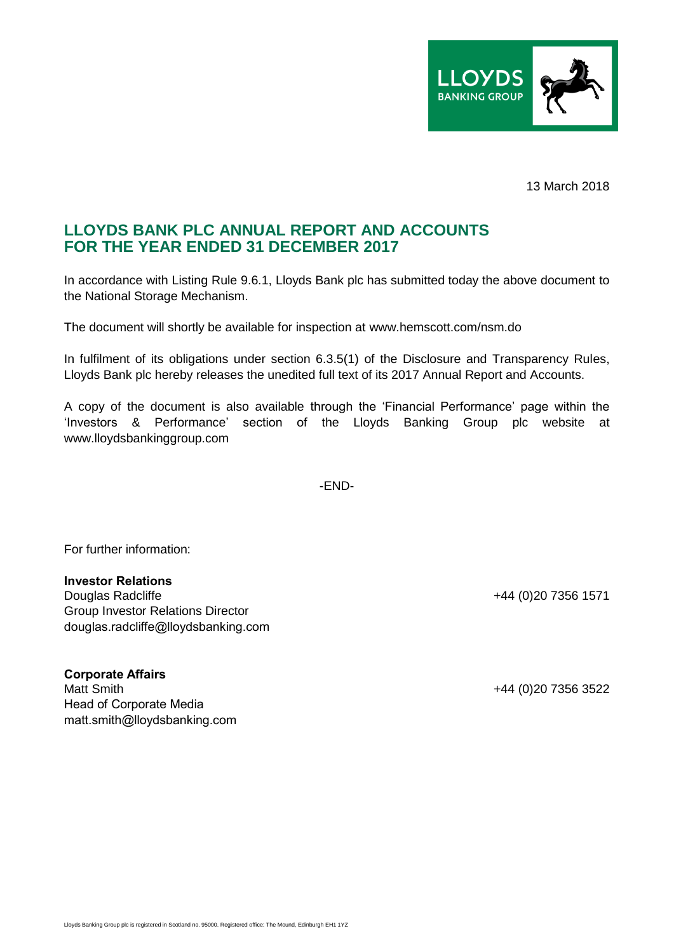

13 March 2018

## **LLOYDS BANK PLC ANNUAL REPORT AND ACCOUNTS FOR THE YEAR ENDED 31 DECEMBER 2017**

In accordance with Listing Rule 9.6.1, Lloyds Bank plc has submitted today the above document to the National Storage Mechanism.

The document will shortly be available for inspection at www.hemscott.com/nsm.do

In fulfilment of its obligations under section 6.3.5(1) of the Disclosure and Transparency Rules, Lloyds Bank plc hereby releases the unedited full text of its 2017 Annual Report and Accounts.

A copy of the document is also available through the 'Financial Performance' page within the 'Investors & Performance' section of the Lloyds Banking Group plc website at www.lloydsbankinggroup.com

-END-

For further information:

## **Investor Relations**

Douglas Radcliffe +44 (0)20 7356 1571 Group Investor Relations Director douglas.radcliffe@lloydsbanking.com

**Corporate Affairs** Matt Smith +44 (0)20 7356 3522 Head of Corporate Media matt.smith@lloydsbanking.com